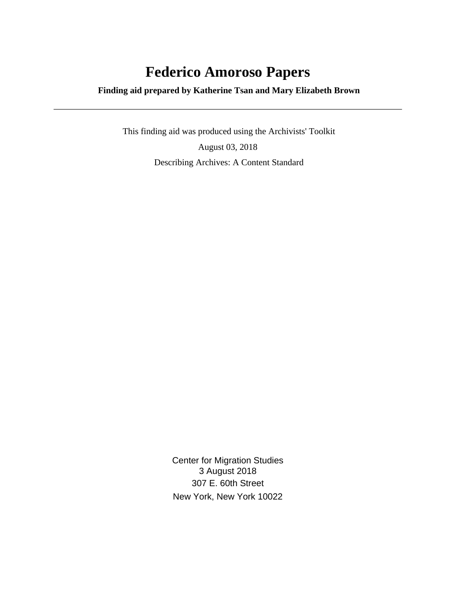# **Federico Amoroso Papers**

 **Finding aid prepared by Katherine Tsan and Mary Elizabeth Brown**

 This finding aid was produced using the Archivists' Toolkit August 03, 2018 Describing Archives: A Content Standard

> Center for Migration Studies 3 August 2018 307 E. 60th Street New York, New York 10022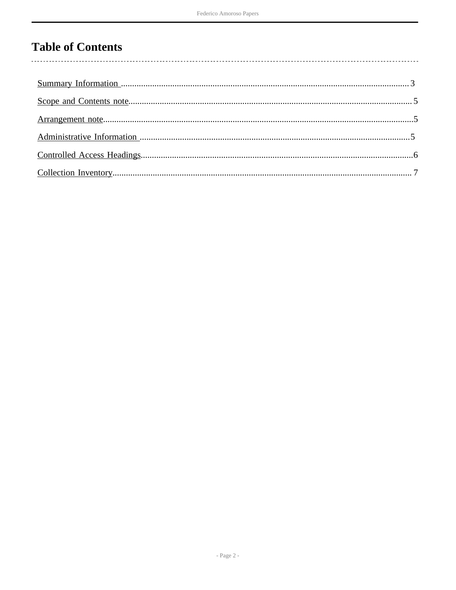## **Table of Contents**

 $\overline{\phantom{a}}$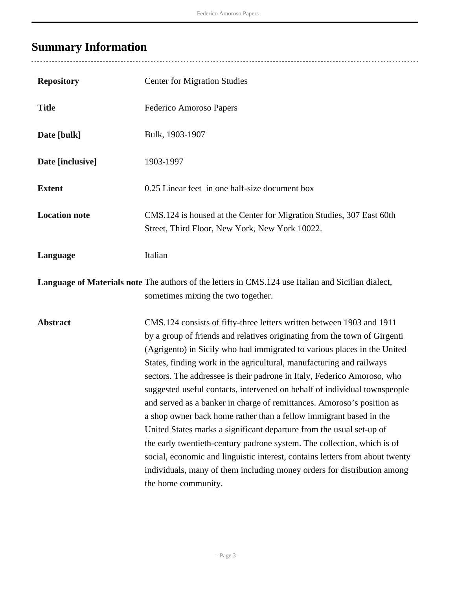# <span id="page-2-0"></span>**Summary Information**

| <b>Repository</b>    | <b>Center for Migration Studies</b>                                                                                                                                                                                                                                                                                                                                                                                                                                                                                                                                                                                                                                                                                                                                                                                                                                                                                                                 |
|----------------------|-----------------------------------------------------------------------------------------------------------------------------------------------------------------------------------------------------------------------------------------------------------------------------------------------------------------------------------------------------------------------------------------------------------------------------------------------------------------------------------------------------------------------------------------------------------------------------------------------------------------------------------------------------------------------------------------------------------------------------------------------------------------------------------------------------------------------------------------------------------------------------------------------------------------------------------------------------|
| <b>Title</b>         | Federico Amoroso Papers                                                                                                                                                                                                                                                                                                                                                                                                                                                                                                                                                                                                                                                                                                                                                                                                                                                                                                                             |
| Date [bulk]          | Bulk, 1903-1907                                                                                                                                                                                                                                                                                                                                                                                                                                                                                                                                                                                                                                                                                                                                                                                                                                                                                                                                     |
| Date [inclusive]     | 1903-1997                                                                                                                                                                                                                                                                                                                                                                                                                                                                                                                                                                                                                                                                                                                                                                                                                                                                                                                                           |
| <b>Extent</b>        | 0.25 Linear feet in one half-size document box                                                                                                                                                                                                                                                                                                                                                                                                                                                                                                                                                                                                                                                                                                                                                                                                                                                                                                      |
| <b>Location note</b> | CMS.124 is housed at the Center for Migration Studies, 307 East 60th<br>Street, Third Floor, New York, New York 10022.                                                                                                                                                                                                                                                                                                                                                                                                                                                                                                                                                                                                                                                                                                                                                                                                                              |
| Language             | Italian                                                                                                                                                                                                                                                                                                                                                                                                                                                                                                                                                                                                                                                                                                                                                                                                                                                                                                                                             |
|                      | Language of Materials note The authors of the letters in CMS.124 use Italian and Sicilian dialect,<br>sometimes mixing the two together.                                                                                                                                                                                                                                                                                                                                                                                                                                                                                                                                                                                                                                                                                                                                                                                                            |
| <b>Abstract</b>      | CMS.124 consists of fifty-three letters written between 1903 and 1911<br>by a group of friends and relatives originating from the town of Girgenti<br>(Agrigento) in Sicily who had immigrated to various places in the United<br>States, finding work in the agricultural, manufacturing and railways<br>sectors. The addressee is their padrone in Italy, Federico Amoroso, who<br>suggested useful contacts, intervened on behalf of individual townspeople<br>and served as a banker in charge of remittances. Amoroso's position as<br>a shop owner back home rather than a fellow immigrant based in the<br>United States marks a significant departure from the usual set-up of<br>the early twentieth-century padrone system. The collection, which is of<br>social, economic and linguistic interest, contains letters from about twenty<br>individuals, many of them including money orders for distribution among<br>the home community. |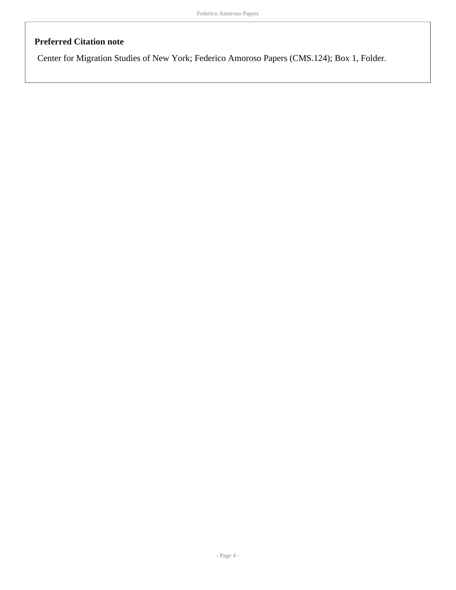### **Preferred Citation note**

Center for Migration Studies of New York; Federico Amoroso Papers (CMS.124); Box 1, Folder.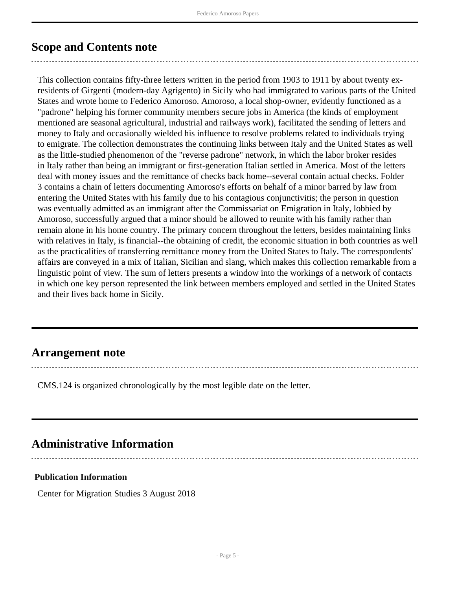### <span id="page-4-0"></span>**Scope and Contents note**

This collection contains fifty-three letters written in the period from 1903 to 1911 by about twenty exresidents of Girgenti (modern-day Agrigento) in Sicily who had immigrated to various parts of the United States and wrote home to Federico Amoroso. Amoroso, a local shop-owner, evidently functioned as a "padrone" helping his former community members secure jobs in America (the kinds of employment mentioned are seasonal agricultural, industrial and railways work), facilitated the sending of letters and money to Italy and occasionally wielded his influence to resolve problems related to individuals trying to emigrate. The collection demonstrates the continuing links between Italy and the United States as well as the little-studied phenomenon of the "reverse padrone" network, in which the labor broker resides in Italy rather than being an immigrant or first-generation Italian settled in America. Most of the letters deal with money issues and the remittance of checks back home--several contain actual checks. Folder 3 contains a chain of letters documenting Amoroso's efforts on behalf of a minor barred by law from entering the United States with his family due to his contagious conjunctivitis; the person in question was eventually admitted as an immigrant after the Commissariat on Emigration in Italy, lobbied by Amoroso, successfully argued that a minor should be allowed to reunite with his family rather than remain alone in his home country. The primary concern throughout the letters, besides maintaining links with relatives in Italy, is financial--the obtaining of credit, the economic situation in both countries as well as the practicalities of transferring remittance money from the United States to Italy. The correspondents' affairs are conveyed in a mix of Italian, Sicilian and slang, which makes this collection remarkable from a linguistic point of view. The sum of letters presents a window into the workings of a network of contacts in which one key person represented the link between members employed and settled in the United States and their lives back home in Sicily.

### <span id="page-4-1"></span>**Arrangement note**

CMS.124 is organized chronologically by the most legible date on the letter.

## <span id="page-4-2"></span>**Administrative Information**

#### **Publication Information**

Center for Migration Studies 3 August 2018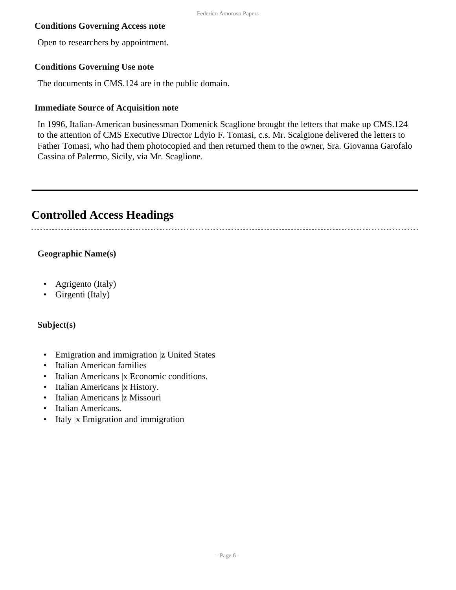#### **Conditions Governing Access note**

Open to researchers by appointment.

#### **Conditions Governing Use note**

The documents in CMS.124 are in the public domain.

#### **Immediate Source of Acquisition note**

In 1996, Italian-American businessman Domenick Scaglione brought the letters that make up CMS.124 to the attention of CMS Executive Director Ldyio F. Tomasi, c.s. Mr. Scalgione delivered the letters to Father Tomasi, who had them photocopied and then returned them to the owner, Sra. Giovanna Garofalo Cassina of Palermo, Sicily, via Mr. Scaglione.

### <span id="page-5-0"></span>**Controlled Access Headings**

#### **Geographic Name(s)**

- Agrigento (Italy)
- Girgenti (Italy)

#### **Subject(s)**

- Emigration and immigration |z United States
- Italian American families
- Italian Americans | x Economic conditions.
- Italian Americans |x History.
- Italian Americans |z Missouri
- Italian Americans.
- Italy |x Emigration and immigration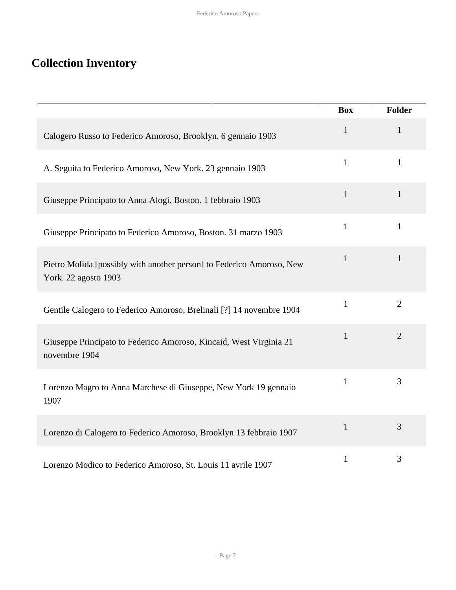## <span id="page-6-0"></span>**Collection Inventory**

|                                                                                               | <b>Box</b>   | Folder         |
|-----------------------------------------------------------------------------------------------|--------------|----------------|
| Calogero Russo to Federico Amoroso, Brooklyn. 6 gennaio 1903                                  | $\mathbf{1}$ | $\mathbf{1}$   |
| A. Seguita to Federico Amoroso, New York. 23 gennaio 1903                                     | $\mathbf{1}$ | $\mathbf{1}$   |
| Giuseppe Principato to Anna Alogi, Boston. 1 febbraio 1903                                    | $\mathbf{1}$ | $\mathbf{1}$   |
| Giuseppe Principato to Federico Amoroso, Boston. 31 marzo 1903                                | $\mathbf{1}$ | $\mathbf{1}$   |
| Pietro Molida [possibly with another person] to Federico Amoroso, New<br>York. 22 agosto 1903 | $\mathbf{1}$ | $\mathbf{1}$   |
| Gentile Calogero to Federico Amoroso, Brelinali [?] 14 novembre 1904                          | $\mathbf{1}$ | $\overline{2}$ |
| Giuseppe Principato to Federico Amoroso, Kincaid, West Virginia 21<br>novembre 1904           | $\mathbf{1}$ | $\overline{2}$ |
| Lorenzo Magro to Anna Marchese di Giuseppe, New York 19 gennaio<br>1907                       | $\mathbf{1}$ | 3              |
| Lorenzo di Calogero to Federico Amoroso, Brooklyn 13 febbraio 1907                            | $\mathbf{1}$ | 3              |
| Lorenzo Modico to Federico Amoroso, St. Louis 11 avrile 1907                                  | $\mathbf{1}$ | 3              |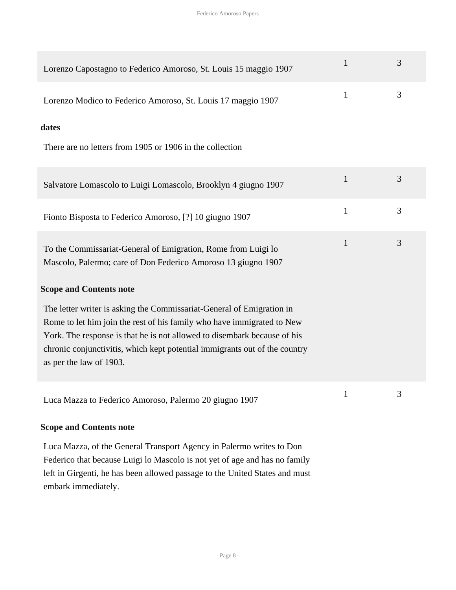| Lorenzo Capostagno to Federico Amoroso, St. Louis 15 maggio 1907                                                                                                                                                                                                                                                                     | 1            | 3 |
|--------------------------------------------------------------------------------------------------------------------------------------------------------------------------------------------------------------------------------------------------------------------------------------------------------------------------------------|--------------|---|
| Lorenzo Modico to Federico Amoroso, St. Louis 17 maggio 1907                                                                                                                                                                                                                                                                         | $\mathbf{1}$ | 3 |
| dates                                                                                                                                                                                                                                                                                                                                |              |   |
| There are no letters from 1905 or 1906 in the collection                                                                                                                                                                                                                                                                             |              |   |
| Salvatore Lomascolo to Luigi Lomascolo, Brooklyn 4 giugno 1907                                                                                                                                                                                                                                                                       | $\mathbf{1}$ | 3 |
| Fionto Bisposta to Federico Amoroso, [?] 10 giugno 1907                                                                                                                                                                                                                                                                              | $\mathbf{1}$ | 3 |
| To the Commissariat-General of Emigration, Rome from Luigi lo<br>Mascolo, Palermo; care of Don Federico Amoroso 13 giugno 1907                                                                                                                                                                                                       | 1            | 3 |
| <b>Scope and Contents note</b>                                                                                                                                                                                                                                                                                                       |              |   |
| The letter writer is asking the Commissariat-General of Emigration in<br>Rome to let him join the rest of his family who have immigrated to New<br>York. The response is that he is not allowed to disembark because of his<br>chronic conjunctivitis, which kept potential immigrants out of the country<br>as per the law of 1903. |              |   |
| Luca Mazza to Federico Amoroso, Palermo 20 giugno 1907                                                                                                                                                                                                                                                                               | $\mathbf{1}$ | 3 |
| <b>Scope and Contents note</b>                                                                                                                                                                                                                                                                                                       |              |   |
| Luca Mazza, of the General Transport Agency in Palermo writes to Don<br>Federico that because Luigi lo Mascolo is not yet of age and has no family                                                                                                                                                                                   |              |   |

left in Girgenti, he has been allowed passage to the United States and must embark immediately.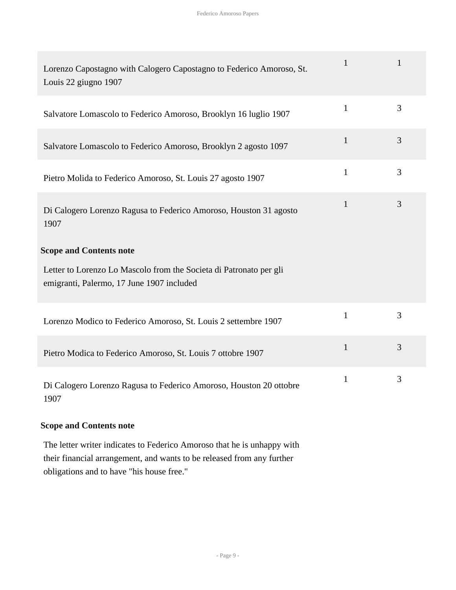| Lorenzo Capostagno with Calogero Capostagno to Federico Amoroso, St.<br>Louis 22 giugno 1907                    | $\mathbf{1}$ | 1 |
|-----------------------------------------------------------------------------------------------------------------|--------------|---|
| Salvatore Lomascolo to Federico Amoroso, Brooklyn 16 luglio 1907                                                | $\mathbf{1}$ | 3 |
| Salvatore Lomascolo to Federico Amoroso, Brooklyn 2 agosto 1097                                                 | $\mathbf{1}$ | 3 |
| Pietro Molida to Federico Amoroso, St. Louis 27 agosto 1907                                                     | $\mathbf{1}$ | 3 |
| Di Calogero Lorenzo Ragusa to Federico Amoroso, Houston 31 agosto<br>1907                                       | $\mathbf{1}$ | 3 |
| <b>Scope and Contents note</b>                                                                                  |              |   |
| Letter to Lorenzo Lo Mascolo from the Societa di Patronato per gli<br>emigranti, Palermo, 17 June 1907 included |              |   |
|                                                                                                                 |              |   |
| Lorenzo Modico to Federico Amoroso, St. Louis 2 settembre 1907                                                  | $\mathbf{1}$ | 3 |
| Pietro Modica to Federico Amoroso, St. Louis 7 ottobre 1907                                                     | $\mathbf{1}$ | 3 |

#### **Scope and Contents note**

The letter writer indicates to Federico Amoroso that he is unhappy with their financial arrangement, and wants to be released from any further obligations and to have "his house free."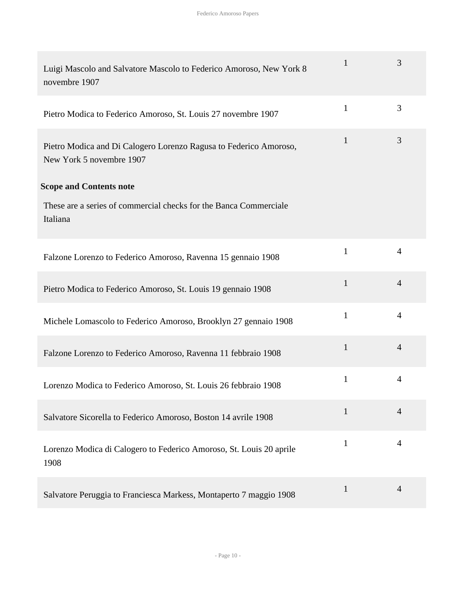| Luigi Mascolo and Salvatore Mascolo to Federico Amoroso, New York 8<br>novembre 1907          | $\mathbf{1}$ | 3              |
|-----------------------------------------------------------------------------------------------|--------------|----------------|
| Pietro Modica to Federico Amoroso, St. Louis 27 novembre 1907                                 | $\mathbf{1}$ | 3              |
| Pietro Modica and Di Calogero Lorenzo Ragusa to Federico Amoroso,<br>New York 5 novembre 1907 | $\mathbf{1}$ | 3              |
| <b>Scope and Contents note</b>                                                                |              |                |
| These are a series of commercial checks for the Banca Commerciale<br>Italiana                 |              |                |
| Falzone Lorenzo to Federico Amoroso, Ravenna 15 gennaio 1908                                  | $\mathbf{1}$ | $\overline{4}$ |
| Pietro Modica to Federico Amoroso, St. Louis 19 gennaio 1908                                  | $\mathbf{1}$ | $\overline{4}$ |
| Michele Lomascolo to Federico Amoroso, Brooklyn 27 gennaio 1908                               | $\mathbf{1}$ | $\overline{4}$ |
| Falzone Lorenzo to Federico Amoroso, Ravenna 11 febbraio 1908                                 | $\mathbf{1}$ | $\overline{4}$ |
| Lorenzo Modica to Federico Amoroso, St. Louis 26 febbraio 1908                                | $\mathbf{1}$ | 4              |
| Salvatore Sicorella to Federico Amoroso, Boston 14 avrile 1908                                | $\mathbf{1}$ | $\overline{4}$ |
| Lorenzo Modica di Calogero to Federico Amoroso, St. Louis 20 aprile<br>1908                   | 1            | 4              |
| Salvatore Peruggia to Franciesca Markess, Montaperto 7 maggio 1908                            | $\mathbf{1}$ | $\overline{4}$ |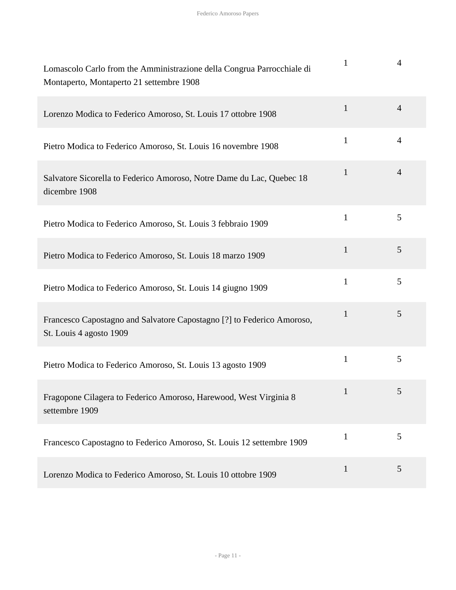| Lomascolo Carlo from the Amministrazione della Congrua Parrocchiale di<br>Montaperto, Montaperto 21 settembre 1908 | $\mathbf{1}$ | 4              |
|--------------------------------------------------------------------------------------------------------------------|--------------|----------------|
| Lorenzo Modica to Federico Amoroso, St. Louis 17 ottobre 1908                                                      | $\mathbf{1}$ | $\overline{4}$ |
| Pietro Modica to Federico Amoroso, St. Louis 16 novembre 1908                                                      | $\mathbf{1}$ | $\overline{4}$ |
| Salvatore Sicorella to Federico Amoroso, Notre Dame du Lac, Quebec 18<br>dicembre 1908                             | $\mathbf{1}$ | 4              |
| Pietro Modica to Federico Amoroso, St. Louis 3 febbraio 1909                                                       | $\mathbf{1}$ | 5              |
| Pietro Modica to Federico Amoroso, St. Louis 18 marzo 1909                                                         | $\mathbf{1}$ | 5              |
| Pietro Modica to Federico Amoroso, St. Louis 14 giugno 1909                                                        | $\mathbf{1}$ | 5              |
| Francesco Capostagno and Salvatore Capostagno [?] to Federico Amoroso,<br>St. Louis 4 agosto 1909                  | $\mathbf{1}$ | 5              |
| Pietro Modica to Federico Amoroso, St. Louis 13 agosto 1909                                                        | $\mathbf{1}$ | 5              |
| Fragopone Cilagera to Federico Amoroso, Harewood, West Virginia 8<br>settembre 1909                                | 1            | 5              |
| Francesco Capostagno to Federico Amoroso, St. Louis 12 settembre 1909                                              | $\mathbf{1}$ | 5              |
| Lorenzo Modica to Federico Amoroso, St. Louis 10 ottobre 1909                                                      | $\mathbf{1}$ | 5              |